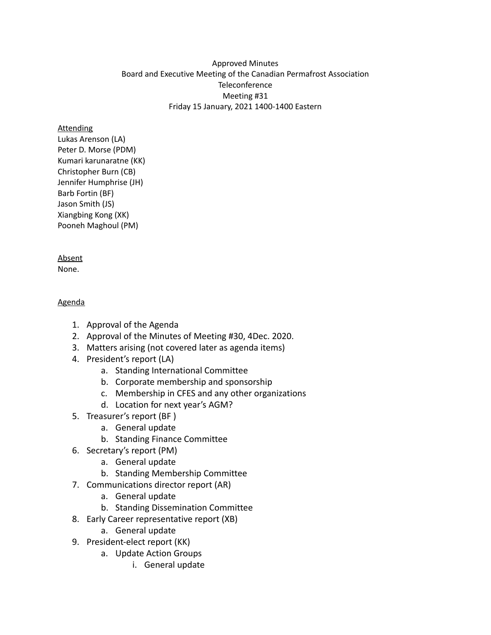### Approved Minutes Board and Executive Meeting of the Canadian Permafrost Association **Teleconference** Meeting #31 Friday 15 January, 2021 1400-1400 Eastern

#### **Attending**

Lukas Arenson (LA) Peter D. Morse (PDM) Kumari karunaratne (KK) Christopher Burn (CB) Jennifer Humphrise (JH) Barb Fortin (BF) Jason Smith (JS) Xiangbing Kong (XK) Pooneh Maghoul (PM)

### Absent

None.

### Agenda

- 1. Approval of the Agenda
- 2. Approval of the Minutes of Meeting #30, 4Dec. 2020.
- 3. Matters arising (not covered later as agenda items)
- 4. President's report (LA)
	- a. Standing International Committee
	- b. Corporate membership and sponsorship
	- c. Membership in CFES and any other organizations
	- d. Location for next year's AGM?
- 5. Treasurer's report (BF )
	- a. General update
	- b. Standing Finance Committee
- 6. Secretary's report (PM)
	- a. General update
	- b. Standing Membership Committee
- 7. Communications director report (AR)
	- a. General update
	- b. Standing Dissemination Committee
- 8. Early Career representative report (XB)
	- a. General update
- 9. President-elect report (KK)
	- a. Update Action Groups
		- i. General update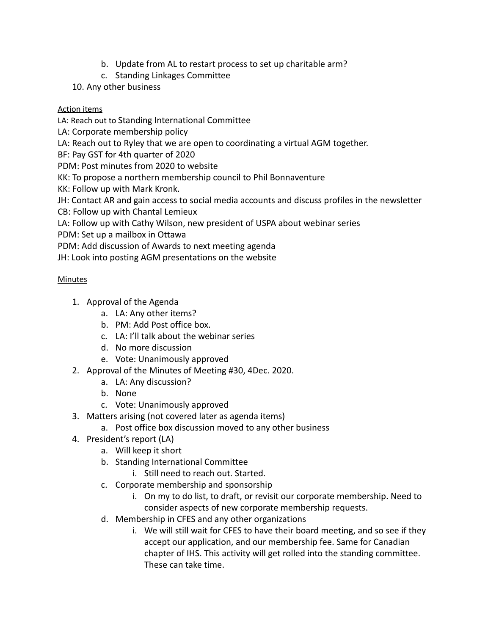- b. Update from AL to restart process to set up charitable arm?
- c. Standing Linkages Committee
- 10. Any other business

## Action items

LA: Reach out to Standing International Committee

LA: Corporate membership policy

LA: Reach out to Ryley that we are open to coordinating a virtual AGM together.

BF: Pay GST for 4th quarter of 2020

PDM: Post minutes from 2020 to website

KK: To propose a northern membership council to Phil Bonnaventure

KK: Follow up with Mark Kronk.

JH: Contact AR and gain access to social media accounts and discuss profiles in the newsletter

CB: Follow up with Chantal Lemieux

LA: Follow up with Cathy Wilson, new president of USPA about webinar series

PDM: Set up a mailbox in Ottawa

PDM: Add discussion of Awards to next meeting agenda

JH: Look into posting AGM presentations on the website

# Minutes

- 1. Approval of the Agenda
	- a. LA: Any other items?
	- b. PM: Add Post office box.
	- c. LA: I'll talk about the webinar series
	- d. No more discussion
	- e. Vote: Unanimously approved
- 2. Approval of the Minutes of Meeting #30, 4Dec. 2020.
	- a. LA: Any discussion?
	- b. None
	- c. Vote: Unanimously approved
- 3. Matters arising (not covered later as agenda items)
	- a. Post office box discussion moved to any other business
- 4. President's report (LA)
	- a. Will keep it short
	- b. Standing International Committee
		- i. Still need to reach out. Started.
	- c. Corporate membership and sponsorship
		- i. On my to do list, to draft, or revisit our corporate membership. Need to consider aspects of new corporate membership requests.
	- d. Membership in CFES and any other organizations
		- i. We will still wait for CFES to have their board meeting, and so see if they accept our application, and our membership fee. Same for Canadian chapter of IHS. This activity will get rolled into the standing committee. These can take time.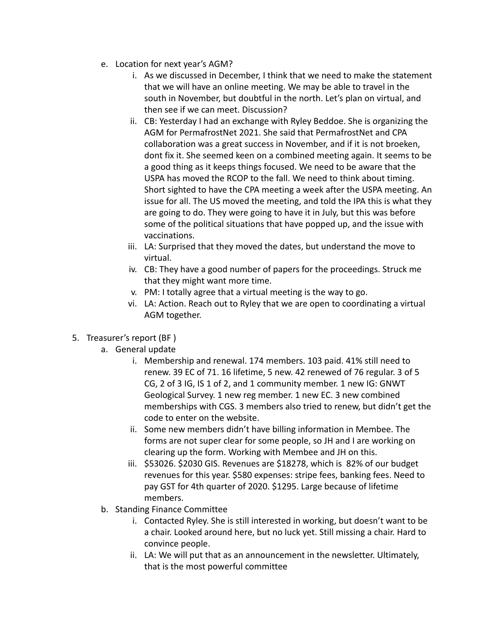- e. Location for next year's AGM?
	- i. As we discussed in December, I think that we need to make the statement that we will have an online meeting. We may be able to travel in the south in November, but doubtful in the north. Let's plan on virtual, and then see if we can meet. Discussion?
	- ii. CB: Yesterday I had an exchange with Ryley Beddoe. She is organizing the AGM for PermafrostNet 2021. She said that PermafrostNet and CPA collaboration was a great success in November, and if it is not broeken, dont fix it. She seemed keen on a combined meeting again. It seems to be a good thing as it keeps things focused. We need to be aware that the USPA has moved the RCOP to the fall. We need to think about timing. Short sighted to have the CPA meeting a week after the USPA meeting. An issue for all. The US moved the meeting, and told the IPA this is what they are going to do. They were going to have it in July, but this was before some of the political situations that have popped up, and the issue with vaccinations.
	- iii. LA: Surprised that they moved the dates, but understand the move to virtual.
	- iv. CB: They have a good number of papers for the proceedings. Struck me that they might want more time.
	- v. PM: I totally agree that a virtual meeting is the way to go.
	- vi. LA: Action. Reach out to Ryley that we are open to coordinating a virtual AGM together.
- 5. Treasurer's report (BF )
	- a. General update
		- i. Membership and renewal. 174 members. 103 paid. 41% still need to renew. 39 EC of 71. 16 lifetime, 5 new. 42 renewed of 76 regular. 3 of 5 CG, 2 of 3 IG, IS 1 of 2, and 1 community member. 1 new IG: GNWT Geological Survey. 1 new reg member. 1 new EC. 3 new combined memberships with CGS. 3 members also tried to renew, but didn't get the code to enter on the website.
		- ii. Some new members didn't have billing information in Membee. The forms are not super clear for some people, so JH and I are working on clearing up the form. Working with Membee and JH on this.
		- iii. \$53026. \$2030 GIS. Revenues are \$18278, which is 82% of our budget revenues for this year. \$580 expenses: stripe fees, banking fees. Need to pay GST for 4th quarter of 2020. \$1295. Large because of lifetime members.
	- b. Standing Finance Committee
		- i. Contacted Ryley. She is still interested in working, but doesn't want to be a chair. Looked around here, but no luck yet. Still missing a chair. Hard to convince people.
		- ii. LA: We will put that as an announcement in the newsletter. Ultimately, that is the most powerful committee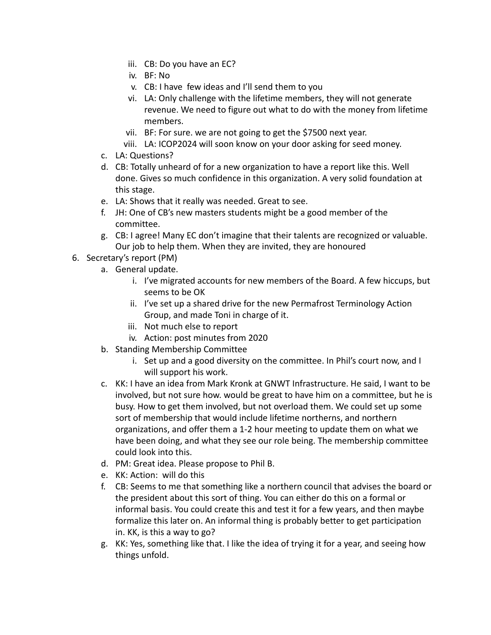- iii. CB: Do you have an EC?
- iv. BF: No
- v. CB: I have few ideas and I'll send them to you
- vi. LA: Only challenge with the lifetime members, they will not generate revenue. We need to figure out what to do with the money from lifetime members.
- vii. BF: For sure. we are not going to get the \$7500 next year.
- viii. LA: ICOP2024 will soon know on your door asking for seed money.
- c. LA: Questions?
- d. CB: Totally unheard of for a new organization to have a report like this. Well done. Gives so much confidence in this organization. A very solid foundation at this stage.
- e. LA: Shows that it really was needed. Great to see.
- f. JH: One of CB's new masters students might be a good member of the committee.
- g. CB: I agree! Many EC don't imagine that their talents are recognized or valuable. Our job to help them. When they are invited, they are honoured
- 6. Secretary's report (PM)
	- a. General update.
		- i. I've migrated accounts for new members of the Board. A few hiccups, but seems to be OK
		- ii. I've set up a shared drive for the new Permafrost Terminology Action Group, and made Toni in charge of it.
		- iii. Not much else to report
		- iv. Action: post minutes from 2020
	- b. Standing Membership Committee
		- i. Set up and a good diversity on the committee. In Phil's court now, and I will support his work.
	- c. KK: I have an idea from Mark Kronk at GNWT Infrastructure. He said, I want to be involved, but not sure how. would be great to have him on a committee, but he is busy. How to get them involved, but not overload them. We could set up some sort of membership that would include lifetime northerns, and northern organizations, and offer them a 1-2 hour meeting to update them on what we have been doing, and what they see our role being. The membership committee could look into this.
	- d. PM: Great idea. Please propose to Phil B.
	- e. KK: Action: will do this
	- f. CB: Seems to me that something like a northern council that advises the board or the president about this sort of thing. You can either do this on a formal or informal basis. You could create this and test it for a few years, and then maybe formalize this later on. An informal thing is probably better to get participation in. KK, is this a way to go?
	- g. KK: Yes, something like that. I like the idea of trying it for a year, and seeing how things unfold.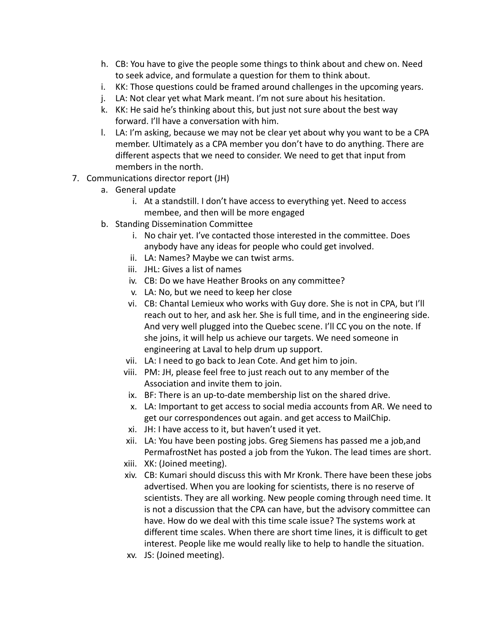- h. CB: You have to give the people some things to think about and chew on. Need to seek advice, and formulate a question for them to think about.
- i. KK: Those questions could be framed around challenges in the upcoming years.
- j. LA: Not clear yet what Mark meant. I'm not sure about his hesitation.
- k. KK: He said he's thinking about this, but just not sure about the best way forward. I'll have a conversation with him.
- l. LA: I'm asking, because we may not be clear yet about why you want to be a CPA member. Ultimately as a CPA member you don't have to do anything. There are different aspects that we need to consider. We need to get that input from members in the north.
- 7. Communications director report (JH)
	- a. General update
		- i. At a standstill. I don't have access to everything yet. Need to access membee, and then will be more engaged
	- b. Standing Dissemination Committee
		- i. No chair yet. I've contacted those interested in the committee. Does anybody have any ideas for people who could get involved.
		- ii. LA: Names? Maybe we can twist arms.
		- iii. JHL: Gives a list of names
		- iv. CB: Do we have Heather Brooks on any committee?
		- v. LA: No, but we need to keep her close
		- vi. CB: Chantal Lemieux who works with Guy dore. She is not in CPA, but I'll reach out to her, and ask her. She is full time, and in the engineering side. And very well plugged into the Quebec scene. I'll CC you on the note. If she joins, it will help us achieve our targets. We need someone in engineering at Laval to help drum up support.
		- vii. LA: I need to go back to Jean Cote. And get him to join.
		- viii. PM: JH, please feel free to just reach out to any member of the Association and invite them to join.
		- ix. BF: There is an up-to-date membership list on the shared drive.
		- x. LA: Important to get access to social media accounts from AR. We need to get our correspondences out again. and get access to MailChip.
		- xi. JH: I have access to it, but haven't used it yet.
		- xii. LA: You have been posting jobs. Greg Siemens has passed me a job,and PermafrostNet has posted a job from the Yukon. The lead times are short.
		- xiii. XK: (Joined meeting).
		- xiv. CB: Kumari should discuss this with Mr Kronk. There have been these jobs advertised. When you are looking for scientists, there is no reserve of scientists. They are all working. New people coming through need time. It is not a discussion that the CPA can have, but the advisory committee can have. How do we deal with this time scale issue? The systems work at different time scales. When there are short time lines, it is difficult to get interest. People like me would really like to help to handle the situation.
		- xv. JS: (Joined meeting).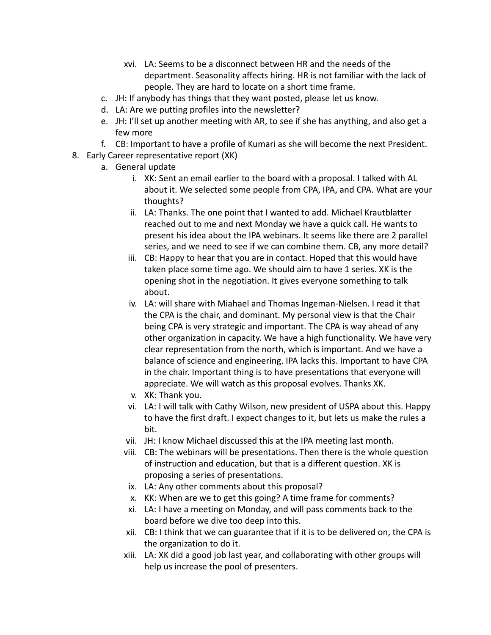- xvi. LA: Seems to be a disconnect between HR and the needs of the department. Seasonality affects hiring. HR is not familiar with the lack of people. They are hard to locate on a short time frame.
- c. JH: If anybody has things that they want posted, please let us know.
- d. LA: Are we putting profiles into the newsletter?
- e. JH: I'll set up another meeting with AR, to see if she has anything, and also get a few more
- f. CB: Important to have a profile of Kumari as she will become the next President.
- 8. Early Career representative report (XK)
	- a. General update
		- i. XK: Sent an email earlier to the board with a proposal. I talked with AL about it. We selected some people from CPA, IPA, and CPA. What are your thoughts?
		- ii. LA: Thanks. The one point that I wanted to add. Michael Krautblatter reached out to me and next Monday we have a quick call. He wants to present his idea about the IPA webinars. It seems like there are 2 parallel series, and we need to see if we can combine them. CB, any more detail?
		- iii. CB: Happy to hear that you are in contact. Hoped that this would have taken place some time ago. We should aim to have 1 series. XK is the opening shot in the negotiation. It gives everyone something to talk about.
		- iv. LA: will share with Miahael and Thomas Ingeman-Nielsen. I read it that the CPA is the chair, and dominant. My personal view is that the Chair being CPA is very strategic and important. The CPA is way ahead of any other organization in capacity. We have a high functionality. We have very clear representation from the north, which is important. And we have a balance of science and engineering. IPA lacks this. Important to have CPA in the chair. Important thing is to have presentations that everyone will appreciate. We will watch as this proposal evolves. Thanks XK.
		- v. XK: Thank you.
		- vi. LA: I will talk with Cathy Wilson, new president of USPA about this. Happy to have the first draft. I expect changes to it, but lets us make the rules a bit.
		- vii. JH: I know Michael discussed this at the IPA meeting last month.
		- viii. CB: The webinars will be presentations. Then there is the whole question of instruction and education, but that is a different question. XK is proposing a series of presentations.
		- ix. LA: Any other comments about this proposal?
		- x. KK: When are we to get this going? A time frame for comments?
		- xi. LA: I have a meeting on Monday, and will pass comments back to the board before we dive too deep into this.
		- xii. CB: I think that we can guarantee that if it is to be delivered on, the CPA is the organization to do it.
		- xiii. LA: XK did a good job last year, and collaborating with other groups will help us increase the pool of presenters.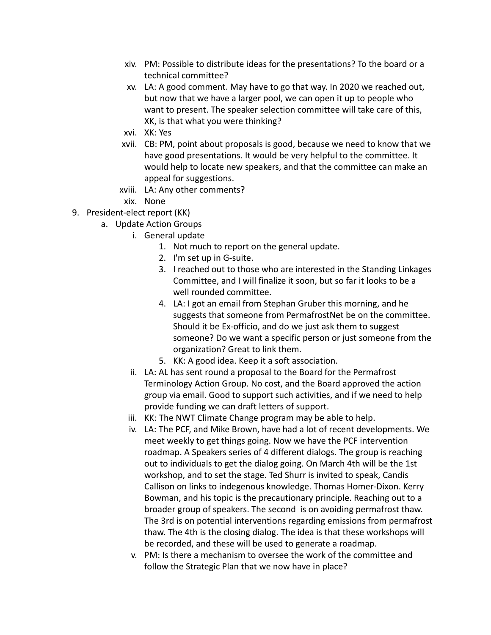- xiv. PM: Possible to distribute ideas for the presentations? To the board or a technical committee?
- xv. LA: A good comment. May have to go that way. In 2020 we reached out, but now that we have a larger pool, we can open it up to people who want to present. The speaker selection committee will take care of this, XK, is that what you were thinking?
- xvi. XK: Yes
- xvii. CB: PM, point about proposals is good, because we need to know that we have good presentations. It would be very helpful to the committee. It would help to locate new speakers, and that the committee can make an appeal for suggestions.
- xviii. LA: Any other comments?
- xix. None
- 9. President-elect report (KK)
	- a. Update Action Groups
		- i. General update
			- 1. Not much to report on the general update.
			- 2. I'm set up in G-suite.
			- 3. I reached out to those who are interested in the Standing Linkages Committee, and I will finalize it soon, but so far it looks to be a well rounded committee.
			- 4. LA: I got an email from Stephan Gruber this morning, and he suggests that someone from PermafrostNet be on the committee. Should it be Ex-officio, and do we just ask them to suggest someone? Do we want a specific person or just someone from the organization? Great to link them.
			- 5. KK: A good idea. Keep it a soft association.
		- ii. LA: AL has sent round a proposal to the Board for the Permafrost Terminology Action Group. No cost, and the Board approved the action group via email. Good to support such activities, and if we need to help provide funding we can draft letters of support.
		- iii. KK: The NWT Climate Change program may be able to help.
		- iv. LA: The PCF, and Mike Brown, have had a lot of recent developments. We meet weekly to get things going. Now we have the PCF intervention roadmap. A Speakers series of 4 different dialogs. The group is reaching out to individuals to get the dialog going. On March 4th will be the 1st workshop, and to set the stage. Ted Shurr is invited to speak, Candis Callison on links to indegenous knowledge. Thomas Homer-Dixon. Kerry Bowman, and his topic is the precautionary principle. Reaching out to a broader group of speakers. The second is on avoiding permafrost thaw. The 3rd is on potential interventions regarding emissions from permafrost thaw. The 4th is the closing dialog. The idea is that these workshops will be recorded, and these will be used to generate a roadmap.
		- v. PM: Is there a mechanism to oversee the work of the committee and follow the Strategic Plan that we now have in place?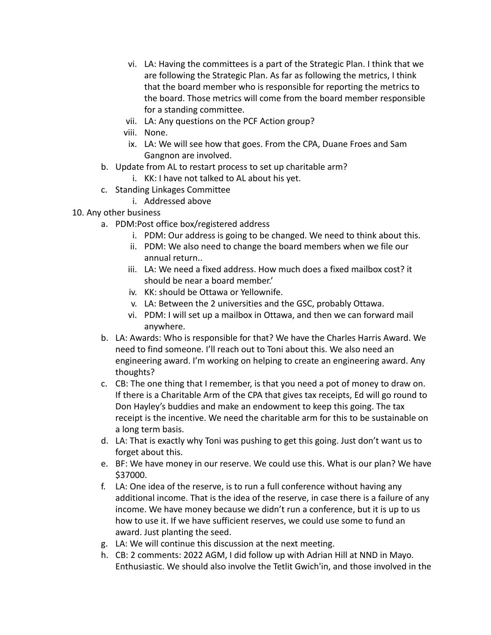- vi. LA: Having the committees is a part of the Strategic Plan. I think that we are following the Strategic Plan. As far as following the metrics, I think that the board member who is responsible for reporting the metrics to the board. Those metrics will come from the board member responsible for a standing committee.
- vii. LA: Any questions on the PCF Action group?
- viii. None.
- ix. LA: We will see how that goes. From the CPA, Duane Froes and Sam Gangnon are involved.
- b. Update from AL to restart process to set up charitable arm?
	- i. KK: I have not talked to AL about his yet.
- c. Standing Linkages Committee
	- i. Addressed above
- 10. Any other business
	- a. PDM:Post office box/registered address
		- i. PDM: Our address is going to be changed. We need to think about this.
		- ii. PDM: We also need to change the board members when we file our annual return..
		- iii. LA: We need a fixed address. How much does a fixed mailbox cost? it should be near a board member.'
		- iv. KK: should be Ottawa or Yellownife.
		- v. LA: Between the 2 universities and the GSC, probably Ottawa.
		- vi. PDM: I will set up a mailbox in Ottawa, and then we can forward mail anywhere.
	- b. LA: Awards: Who is responsible for that? We have the Charles Harris Award. We need to find someone. I'll reach out to Toni about this. We also need an engineering award. I'm working on helping to create an engineering award. Any thoughts?
	- c. CB: The one thing that I remember, is that you need a pot of money to draw on. If there is a Charitable Arm of the CPA that gives tax receipts, Ed will go round to Don Hayley's buddies and make an endowment to keep this going. The tax receipt is the incentive. We need the charitable arm for this to be sustainable on a long term basis.
	- d. LA: That is exactly why Toni was pushing to get this going. Just don't want us to forget about this.
	- e. BF: We have money in our reserve. We could use this. What is our plan? We have \$37000.
	- f. LA: One idea of the reserve, is to run a full conference without having any additional income. That is the idea of the reserve, in case there is a failure of any income. We have money because we didn't run a conference, but it is up to us how to use it. If we have sufficient reserves, we could use some to fund an award. Just planting the seed.
	- g. LA: We will continue this discussion at the next meeting.
	- h. CB: 2 comments: 2022 AGM, I did follow up with Adrian Hill at NND in Mayo. Enthusiastic. We should also involve the Tetlit Gwich'in, and those involved in the